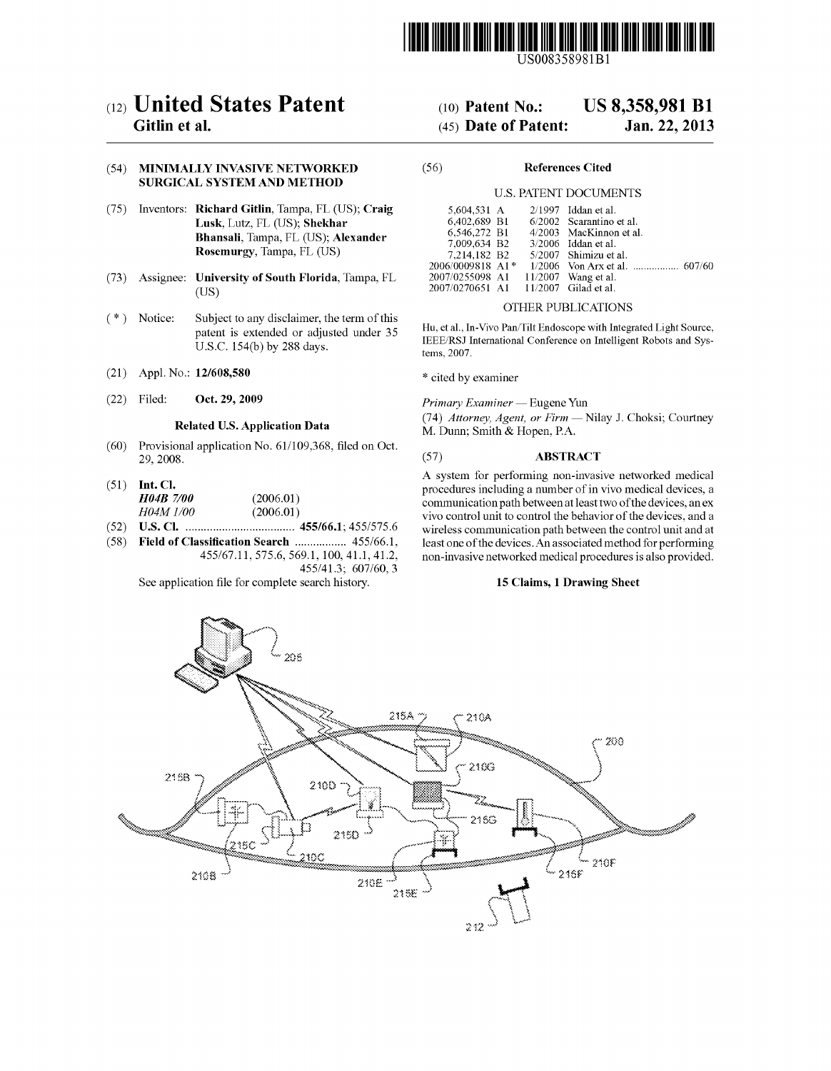

US008358981Bl

# c12) **United States Patent**

### **Gitlin et al.**

#### (54) **MINIMALLY INVASIVE NETWORKED SURGICAL SYSTEM AND METHOD**

- (75) Inventors: **Richard Gitlin,** Tampa, FL (US); **Craig Lusk,** Lutz, FL (US); **Shekhar Bhansali,** Tampa, FL (US); **Alexander Rosemurgy,** Tampa, FL (US)
- (73) Assignee: **University of South Florida,** Tampa, FL (US)
- ( \*) Notice: Subject to any disclaimer, the term of this patent is extended or adjusted under 35 U.S.C. 154(b) by 288 days.
- (21) Appl. No.: **12/608,580**
- (22) Filed: **Oct. 29, 2009**

### **Related U.S. Application Data**

- (60) Provisional application No. 61/109,368, filed on Oct. 29,2008.
- (51) **Int. Cl.**  *H04B 7/00* (2006.01)<br>*H04M 1/00* (2006.01) *H04M 1/00*
- (52) **U.S. Cl.** .................................... **455/66.1;** 455/575.6
- (58) **Field of Classification Search** ................. 455/66.1, 455/67.11,575.6, 569.1, 100, 41.1, 41.2, 455/41.3; 607/60, 3

See application file for complete search history.

# (10) **Patent No.: US 8,358,981 Bl**

## (45) **Date of Patent: Jan.22,2013**

#### (56) **References Cited**

#### U.S. PATENT DOCUMENTS

| 5,604,531 A      |  | $2/1997$ Iddan et al.    |
|------------------|--|--------------------------|
| 6,402,689 B1     |  | 6/2002 Scarantino et al. |
| 6.546.272 B1     |  | 4/2003 MacKinnon et al.  |
| 7,009,634 B2     |  | $3/2006$ Iddan et al.    |
| 7,214,182 B2     |  | 5/2007 Shimizu et al.    |
| 2006/0009818 A1* |  |                          |
| 2007/0255098 A1  |  | 11/2007 Wang et al.      |
| 2007/0270651 A1  |  | 11/2007 Gilad et al.     |

#### OTHER PUBLICATIONS

Hu, et al., In-Vivo Pan/Tilt Endoscope with Integrated Light Source, IEEE/RSJ International Conference on Intelligent Robots and Systems, 2007.

\* cited by examiner

*Primary Examiner-* Eugene Yun

(74) *Attorney, Agent, or Firm-* Nilay J. Choksi; Courtney M. Duun; Smith & Hopen, P.A.

#### (57) **ABSTRACT**

A system for performing non-invasive networked medical procedures including a number of in vivo medical devices, a communication path between at least two of the devices, an ex vivo control unit to control the behavior of the devices, and a wireless communication path between the control unit and at least one of the devices. An associated method for performing non-invasive networked medical procedures is also provided.

#### **15 Claims, 1 Drawing Sheet**

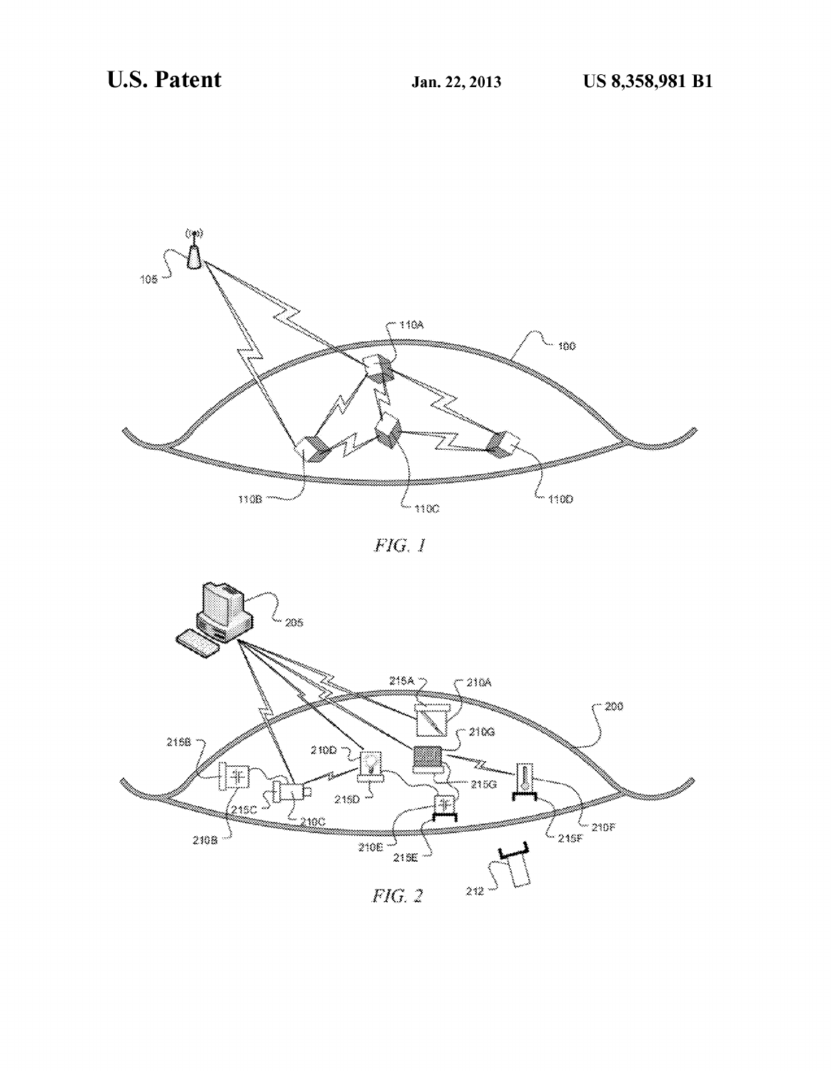

FIG. 1

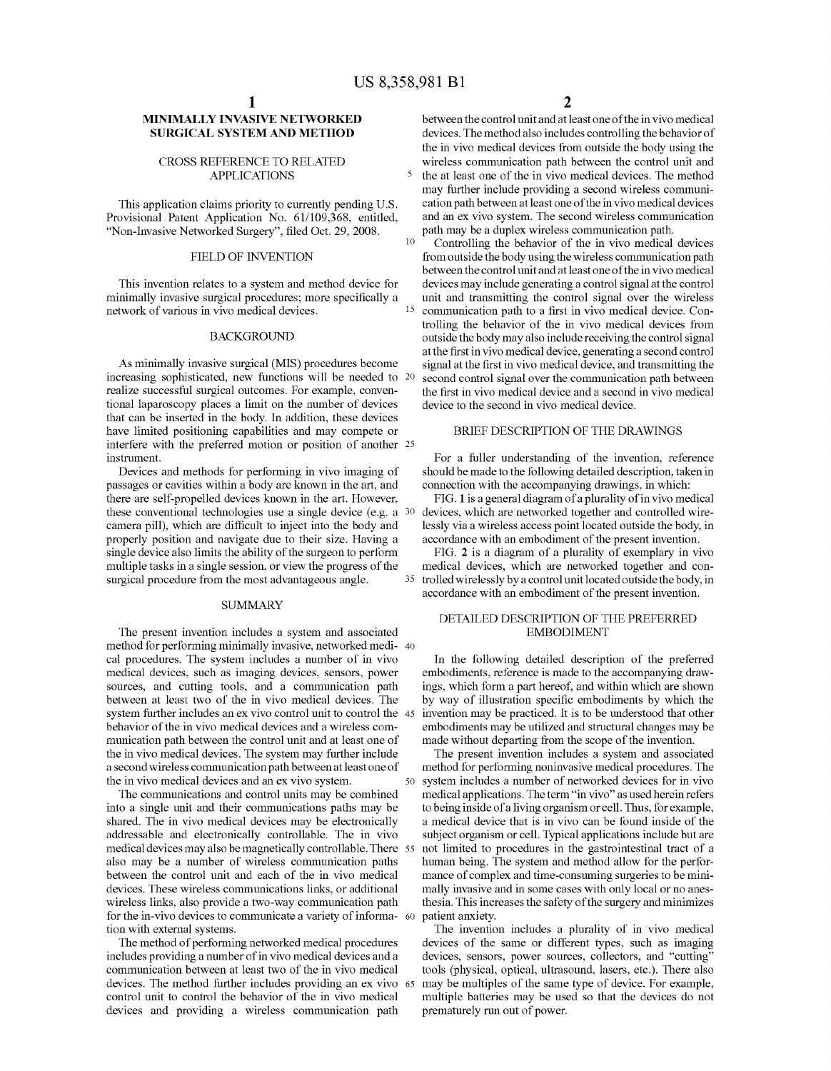5

#### **MINIMALLY INVASIVE NETWORKED SURGICAL SYSTEM AND METHOD**

#### CROSS REFERENCE TO RELATED APPLICATIONS

This application claims priority to currently pending U.S. Provisional Patent Application No. 61/109,368, entitled, "Non-Invasive Networked Surgery", filed Oct. 29, 2008.

This invention relates to a system and method device for minimally invasive surgical procedures; more specifically a network of various in vivo medical devices.

#### BACKGROUND

increasing sophisticated, new functions will be needed to realize successful surgical outcomes. For example, conventional laparoscopy places a limit on the number of devices that can be inserted in the body. In addition, these devices have limited positioning capabilities and may compete or interfere with the preferred motion or position of another 25 instrument.

Devices and methods for performing in vivo imaging of passages or cavities within a body are known in the art, and there are self-propelled devices known in the art. However, these conventional technologies use a single device (e.g. a 30 camera pill), which are difficult to inject into the body and properly position and navigate due to their size. Having a single device also limits the ability of the surgeon to perform multiple tasks in a single session, or view the progress of the surgical procedure from the most advantageous angle.

#### **SUMMARY**

The present invention includes a system and associated method for performing minimally invasive, networked medi- 40 cal procedures. The system includes a number of in vivo medical devices, such as imaging devices, sensors, power sources, and cutting tools, and a communication path between at least two of the in vivo medical devices. The system further includes an ex vivo control unit to control the 45 behavior of the in vivo medical devices and a wireless communication path between the control unit and at least one of the in vivo medical devices. The system may further include a second wireless communication path between at least one of method for performing noninvasive medical procedures. The

The communications and control units may be combined into a single unit and their communications paths may be shared. The in vivo medical devices may be electronically addressable and electronically controllable. The in vivo medical devices may also be magnetically controllable. There 55 also may be a number of wireless communication paths between the control unit and each of the in vivo medical devices. These wireless communications links, or additional wireless links, also provide a two-way communication path for the in-vivo devices to communicate a variety of information with external systems.

The method of performing networked medical procedures includes providing a number of in vivo medical devices and a communication between at least two of the in vivo medical devices. The method further includes providing an ex vivo control unit to control the behavior of the in vivo medical devices and providing a wireless communication path

between the control unit and at least one of the in vivo medical devices. The method also includes controlling the behavior of the in vivo medical devices from outside the body using the wireless communication path between the control unit and the at least one of the in vivo medical devices. The method may further include providing a second wireless communication path between at least one of the in vivo medical devices and an ex vivo system. The second wireless communication path may be a duplex wireless communication path.

Controlling the behavior of the in vivo medical devices FIELD OF INVENTION from outside the body using the wireless communication path between the control unit and at least one of the in vivo medical devices may include generating a control signal at the control unit and transmitting the control signal over the wireless 15 communication path to a first in vivo medical device. Controlling the behavior of the in vivo medical devices from outside the body may also include receiving the control signal at the first in vivo medical device, generating a second control As minimally invasive surgical (MIS) procedures become signal at the first in vivo medical device, and transmitting the second control signal over the communication path between the first in vivo medical device and a second in vivo medical device to the second in vivo medical device.

### BRIEF DESCRIPTION OF THE DRAWINGS

For a fuller understanding of the invention, reference should be made to the following detailed description, taken in connection with the accompanying drawings, in which:

FIG. **1** is a general diagram of a plurality of in vivo medical devices, which are networked together and controlled wirelessly via a wireless access point located outside the body, in accordance with an embodiment of the present invention.

FIG. **2** is a diagram of a plurality of exemplary in vivo medical devices, which are networked together and con-35 trolled wirelessly by a control unit located outside the body, in accordance with an embodiment of the present invention.

### DETAILED DESCRIPTION OF THE PREFERRED EMBODIMENT

In the following detailed description of the preferred embodiments, reference is made to the accompanying drawings, which form a part hereof, and within which are shown by way of illustration specific embodiments by which the invention may be practiced. It is to be understood that other embodiments may be utilized and structural changes may be made without departing from the scope of the invention.

The present invention includes a system and associated the in vivo medical devices and an ex vivo system. 50 system includes a number of networked devices for in vivo medical applications. The term "in vivo" as used herein refers to being inside of a living organism or cell. Thus, for example, a medical device that is in vivo can be found inside of the subject organism or cell. Typical applications include but are not limited to procedures in the gastrointestinal tract of a human being. The system and method allow for the performance of complex and time-consuming surgeries to be minimally invasive and in some cases with only local or no anesthesia. This increases the safety of the surgery and minimizes patient anxiety.

The invention includes a plurality of in vivo medical devices of the same or different types, such as imaging devices, sensors, power sources, collectors, and "cutting" tools (physical, optical, ultrasound, lasers, etc.). There also may be multiples of the same type of device. For example, multiple batteries may be used so that the devices do not prematurely run out of power.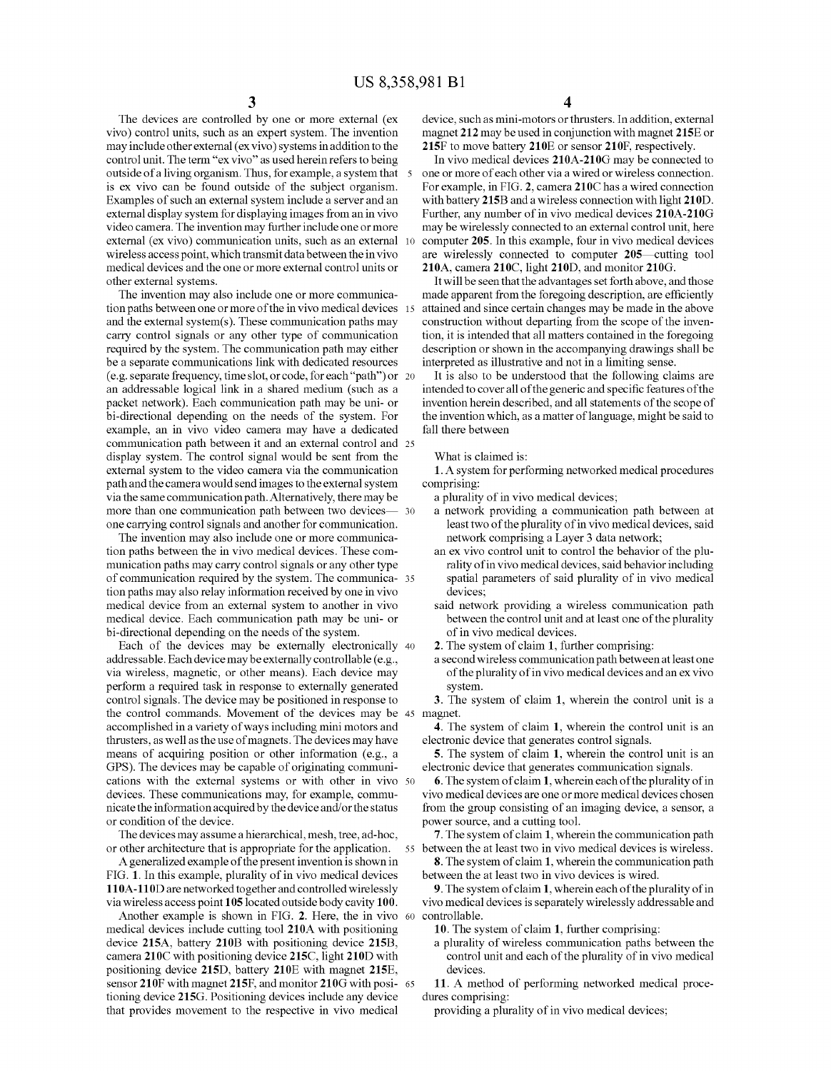The devices are controlled by one or more external (ex vivo) control units, such as an expert system. The invention may include other external (ex vivo) systems in addition to the control unit. The term "ex vivo" as used herein refers to being outside of a living organism. Thus, for example, a system that is ex vivo can be found outside of the subject organism. Examples of such an external system include a server and an external display system for displaying images from an in vivo video camera. The invention may further include one or more external (ex vivo) communication units, such as an external 10 wireless access point, which transmit data between the in vivo medical devices and the one or more external control units or other external systems.

The invention may also include one or more communication paths between one or more of the in vivo medical devices 15 and the external system $(s)$ . These communication paths may carry control signals or any other type of communication required by the system. The communication path may either be a separate communications link with dedicated resources (e. g. separate frequency, time slot, or code, for each "path") or 20 an addressable logical link in a shared medium (such as a packet network). Each communication path may be uni- or bi-directional depending on the needs of the system. For example, an in vivo video camera may have a dedicated communication path between it and an external control and 25 display system. The control signal would be sent from the external system to the video camera via the communication path and the camera would send images to the external system via the same communication path. Alternatively, there may be more than one communication path between two devicesone carrying control signals and another for communication.

The invention may also include one or more communication paths between the in vivo medical devices. These communication paths may carry control signals or any other type of communication required by the system. The communica- <sup>35</sup> tion paths may also relay information received by one in vivo medical device from an external system to another in vivo medical device. Each communication path may be uni- or bi-directional depending on the needs of the system.

Each of the devices may be externally electronically 40 addressable. Each device may be externally controllable (e.g., via wireless, magnetic, or other means). Each device may perform a required task in response to externally generated control signals. The device may be positioned in response to the control commands. Movement of the devices may be 45 magnet. accomplished in a variety of ways including mini motors and thrusters, as well as the use of magnets. The devices may have means of acquiring position or other information (e.g., a GPS). The devices may be capable of originating communications with the external systems or with other in vivo 50 devices. These communications may, for example, communicate the information acquired by the device and/ or the status or condition of the device.

The devices may assume a hierarchical, mesh, tree, ad-hoc, or other architecture that is appropriate for the application.

A generalized example of the present invention is shown in FIG. 1. In this example, plurality of in vivo medical devices 11 OA-11 OD are networked together and controlled wirelessly via wireless access point 105located outside body cavity 100.

Another example is shown in FIG. 2. Here, the in vivo 60 controllable. medical devices include cutting tool 210A with positioning device 215A, battery 210B with positioning device 215B, camera 210C with positioning device 215C, light 210D with positioning device 215D, battery 210E with magnet 215E, sensor 210F with magnet 215F, and monitor 210G with posi- 65 tioning device 215G. Positioning devices include any device that provides movement to the respective in vivo medical

device, such as mini-motors or thrusters. In addition, external magnet 212 may be used in conjunction with magnet 215E or 215F to move battery 210E or sensor 210F, respectively.

In vivo medical devices 210A-210G may be connected to one or more of each other via a wired or wireless connection. For example, in FIG. 2, camera 210C has a wired connection with battery 215B and a wireless connection with light 210D. Further, any number of in vivo medical devices 210A-210G may be wirelessly connected to an external control unit, here computer 205. In this example, four in vivo medical devices are wirelessly connected to computer 205—cutting tool 210A, camera 210C, light 210D, and monitor 210G.

It will be seen that the advantages set forth above, and those made apparent from the foregoing description, are efficiently attained and since certain changes may be made in the above construction without departing from the scope of the invention, it is intended that all matters contained in the foregoing description or shown in the accompanying drawings shall be interpreted as illustrative and not in a limiting sense.

It is also to be understood that the following claims are intended to cover all of the generic and specific features of the invention herein described, and all statements of the scope of the invention which, as a matter of language, might be said to fall there between

#### What is claimed is:

**1.** A system for performing networked medical procedures comprising:

a plurality of in vivo medical devices;

- a network providing a communication path between at least two of the plurality of in vivo medical devices, said network comprising a Layer 3 data network;
- an ex vivo control unit to control the behavior of the plurality of in vivo medical devices, said behavior including spatial parameters of said plurality of in vivo medical devices;
- said network providing a wireless communication path between the control unit and at least one of the plurality of in vivo medical devices.

2. The system of claim **1,** further comprising:

a second wireless communication path between at least one of the plurality of in vivo medical devices and an ex vivo system.

3. The system of claim **1,** wherein the control unit is a

**4.** The system of claim **1,** wherein the control unit is an electronic device that generates control signals.

5. The system of claim **1,** wherein the control unit is an electronic device that generates communication signals.

6. The system of claim **1,** whereineachoftheplurality of in vivo medical devices are one or more medical devices chosen from the group consisting of an imaging device, a sensor, a power source, and a cutting tool.

7. The system of claim **1,** wherein the communication path 55 between the at least two in vivo medical devices is wireless.

8. The system of claim **1,** wherein the communication path between the at least two in vivo devices is wired.

9. The system of claim **1,** whereineachoftheplurality of in vivo medical devices is separately wirelessly addressable and

10. The system of claim **1,** further comprising:

a plurality of wireless communication paths between the control unit and each of the plurality of in vivo medical devices.

11. A method of performing networked medical procedures comprising:

providing a plurality of in vivo medical devices;